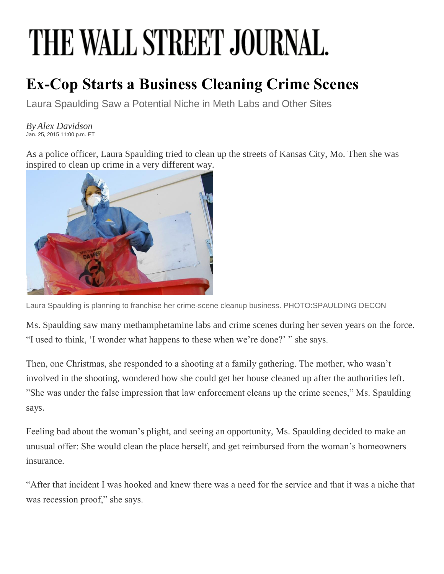## THE WALL STREET JOURNAL.

## **Ex-Cop Starts a Business Cleaning Crime Scenes**

Laura Spaulding Saw a Potential Niche in Meth Labs and Other Sites

*ByAlex Davidson* Jan. 25, 2015 11:00 p.m. ET

As a police officer, Laura Spaulding tried to clean up the streets of Kansas City, Mo. Then she was inspired to clean up crime in a very different way.



Laura Spaulding is planning to franchise her crime-scene cleanup business. PHOTO:SPAULDING DECON

Ms. Spaulding saw many methamphetamine labs and crime scenes during her seven years on the force. "I used to think, 'I wonder what happens to these when we're done?' " she says.

Then, one Christmas, she responded to a shooting at a family gathering. The mother, who wasn't involved in the shooting, wondered how she could get her house cleaned up after the authorities left. "She was under the false impression that law enforcement cleans up the crime scenes," Ms. Spaulding says.

Feeling bad about the woman's plight, and seeing an opportunity, Ms. Spaulding decided to make an unusual offer: She would clean the place herself, and get reimbursed from the woman's homeowners insurance.

"After that incident I was hooked and knew there was a need for the service and that it was a niche that was recession proof," she says.